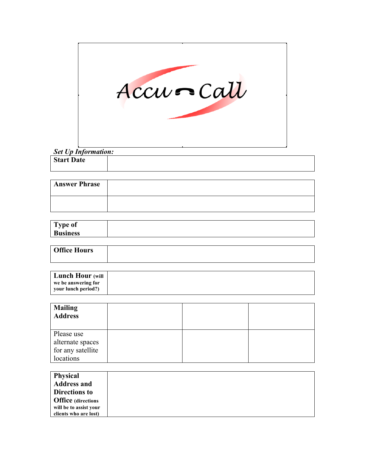

# *Set Up Information:*

| <b>Start Date</b> |  |
|-------------------|--|
|                   |  |

| <b>Answer Phrase</b> |  |
|----------------------|--|
|                      |  |

| <b>Business</b> |  |
|-----------------|--|

| <b>Office Hours</b> |  |
|---------------------|--|
|                     |  |

| <b>Lunch Hour</b> (will |  |
|-------------------------|--|
| we be answering for     |  |
| your lunch period?)     |  |

| <b>Mailing</b><br><b>Address</b>                                 |  |  |
|------------------------------------------------------------------|--|--|
| Please use<br>alternate spaces<br>for any satellite<br>locations |  |  |

| <b>Physical</b>           |  |
|---------------------------|--|
| <b>Address and</b>        |  |
| <b>Directions to</b>      |  |
| <b>Office</b> (directions |  |
| will be to assist your    |  |
| clients who are lost)     |  |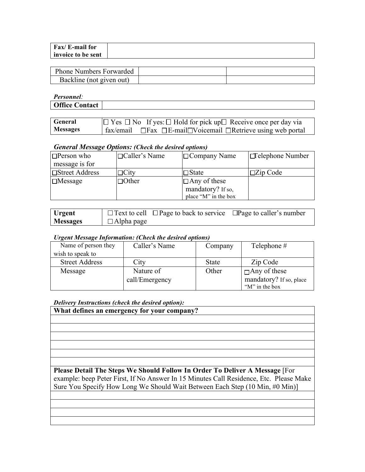| Fax/ E-mail for    |  |
|--------------------|--|
| invoice to be sent |  |

| <b>Phone Numbers Forwarded</b> |  |
|--------------------------------|--|
| Backline (not given out)       |  |

*Personnel:*

| ------------                                                           |  |
|------------------------------------------------------------------------|--|
| $\sim$ $\sim$ $\sim$ $\sim$<br>$'$ omto ot<br><b>Ottice C</b><br>лцасі |  |
|                                                                        |  |

| General         | $\Box$ Yes $\Box$ No If yes: $\Box$ Hold for pick up $\Box$ Receive once per day via         |
|-----------------|----------------------------------------------------------------------------------------------|
| <b>Messages</b> | $\vert$ fax/email $\Box$ Fax $\Box$ E-mail $\Box$ Voicemail $\Box$ Retrieve using web portal |

#### *General Message Options: (Check the desired options)*

| $\Box$ Person who     | $\Box$ Caller's Name | $\Box$ Company Name  | $\Box$ elephone Number |
|-----------------------|----------------------|----------------------|------------------------|
| message is for        |                      |                      |                        |
| <b>Street Address</b> | $\Box$ City          | $\Box$ State         | $\Box$ Zip Code        |
| $\Box$ Message        | $\Box$ Other         | $\Box$ Any of these  |                        |
|                       |                      | mandatory? If so,    |                        |
|                       |                      | place "M" in the box |                        |

| <b>Urgent</b>   |                   | $\Box$ Text to cell $\Box$ Page to back to service $\Box$ Page to caller's number |  |
|-----------------|-------------------|-----------------------------------------------------------------------------------|--|
| <b>Messages</b> | $\Box$ Alpha page |                                                                                   |  |

## *Urgent Message Information: (Check the desired options)*

| Name of person they   | Caller's Name  | Company      | Telephone $#$           |
|-----------------------|----------------|--------------|-------------------------|
| wish to speak to      |                |              |                         |
| <b>Street Address</b> | City           | <b>State</b> | Zip Code                |
| Message               | Nature of      | Other        | $\Box$ Any of these     |
|                       | call/Emergency |              | mandatory? If so, place |
|                       |                |              | "M" in the box          |

*Delivery Instructions (check the desired option):*

**What defines an emergency for your company?**

**Please Detail The Steps We Should Follow In Order To Deliver A Message** [For example: beep Peter First, If No Answer In 15 Minutes Call Residence, Etc. Please Make Sure You Specify How Long We Should Wait Between Each Step (10 Min, #0 Min)]